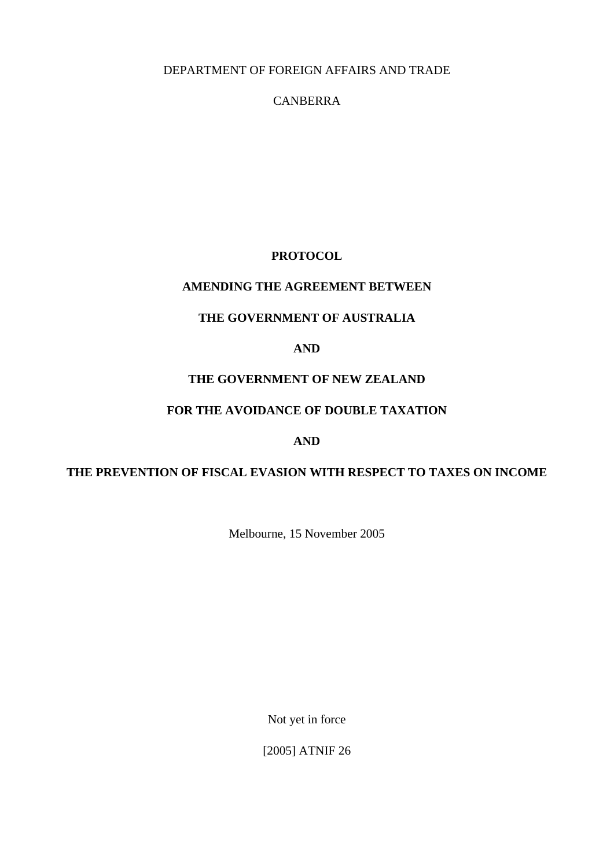DEPARTMENT OF FOREIGN AFFAIRS AND TRADE

# CANBERRA

# **PROTOCOL**

## **AMENDING THE AGREEMENT BETWEEN**

## **THE GOVERNMENT OF AUSTRALIA**

### **AND**

## **THE GOVERNMENT OF NEW ZEALAND**

## **FOR THE AVOIDANCE OF DOUBLE TAXATION**

### **AND**

# **THE PREVENTION OF FISCAL EVASION WITH RESPECT TO TAXES ON INCOME**

Melbourne, 15 November 2005

Not yet in force

[2005] ATNIF 26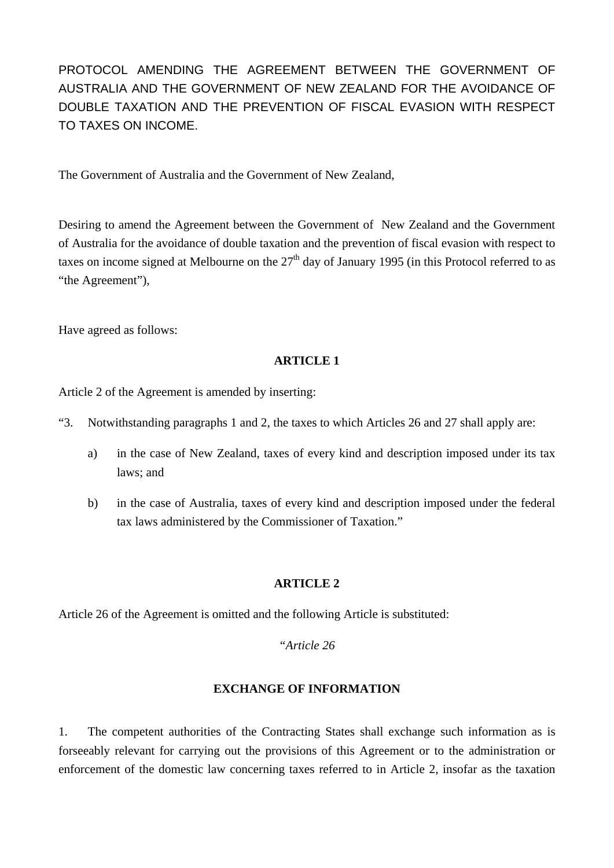PROTOCOL AMENDING THE AGREEMENT BETWEEN THE GOVERNMENT OF AUSTRALIA AND THE GOVERNMENT OF NEW ZEALAND FOR THE AVOIDANCE OF DOUBLE TAXATION AND THE PREVENTION OF FISCAL EVASION WITH RESPECT TO TAXES ON INCOME.

The Government of Australia and the Government of New Zealand,

Desiring to amend the Agreement between the Government of New Zealand and the Government of Australia for the avoidance of double taxation and the prevention of fiscal evasion with respect to taxes on income signed at Melbourne on the  $27<sup>th</sup>$  day of January 1995 (in this Protocol referred to as "the Agreement"),

Have agreed as follows:

#### **ARTICLE 1**

Article 2 of the Agreement is amended by inserting:

- "3. Notwithstanding paragraphs 1 and 2, the taxes to which Articles 26 and 27 shall apply are:
	- a) in the case of New Zealand, taxes of every kind and description imposed under its tax laws; and
	- b) in the case of Australia, taxes of every kind and description imposed under the federal tax laws administered by the Commissioner of Taxation."

### **ARTICLE 2**

Article 26 of the Agreement is omitted and the following Article is substituted:

*"Article 26* 

#### **EXCHANGE OF INFORMATION**

1. The competent authorities of the Contracting States shall exchange such information as is forseeably relevant for carrying out the provisions of this Agreement or to the administration or enforcement of the domestic law concerning taxes referred to in Article 2, insofar as the taxation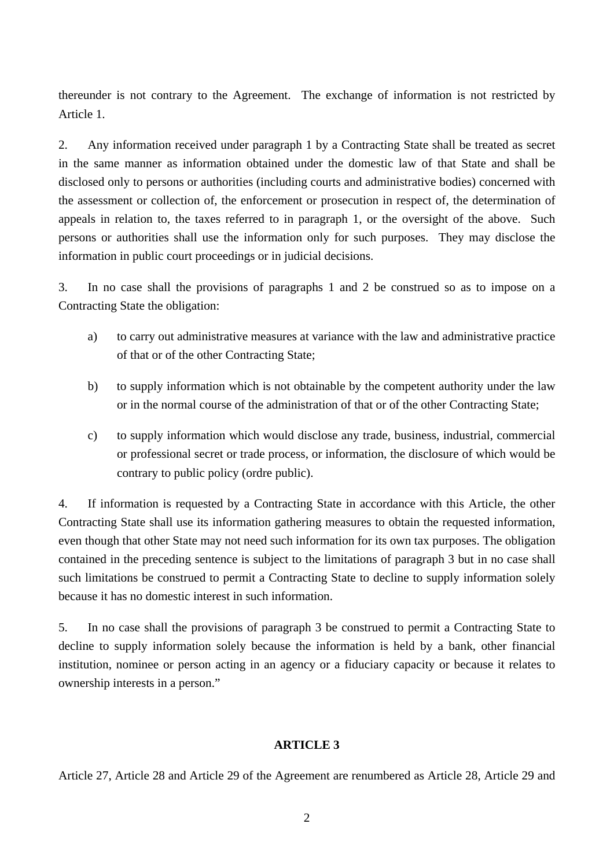thereunder is not contrary to the Agreement. The exchange of information is not restricted by Article 1.

2. Any information received under paragraph 1 by a Contracting State shall be treated as secret in the same manner as information obtained under the domestic law of that State and shall be disclosed only to persons or authorities (including courts and administrative bodies) concerned with the assessment or collection of, the enforcement or prosecution in respect of, the determination of appeals in relation to, the taxes referred to in paragraph 1, or the oversight of the above. Such persons or authorities shall use the information only for such purposes. They may disclose the information in public court proceedings or in judicial decisions.

3. In no case shall the provisions of paragraphs 1 and 2 be construed so as to impose on a Contracting State the obligation:

- a) to carry out administrative measures at variance with the law and administrative practice of that or of the other Contracting State;
- b) to supply information which is not obtainable by the competent authority under the law or in the normal course of the administration of that or of the other Contracting State;
- c) to supply information which would disclose any trade, business, industrial, commercial or professional secret or trade process, or information, the disclosure of which would be contrary to public policy (ordre public).

4. If information is requested by a Contracting State in accordance with this Article, the other Contracting State shall use its information gathering measures to obtain the requested information, even though that other State may not need such information for its own tax purposes. The obligation contained in the preceding sentence is subject to the limitations of paragraph 3 but in no case shall such limitations be construed to permit a Contracting State to decline to supply information solely because it has no domestic interest in such information.

5. In no case shall the provisions of paragraph 3 be construed to permit a Contracting State to decline to supply information solely because the information is held by a bank, other financial institution, nominee or person acting in an agency or a fiduciary capacity or because it relates to ownership interests in a person."

# **ARTICLE 3**

Article 27, Article 28 and Article 29 of the Agreement are renumbered as Article 28, Article 29 and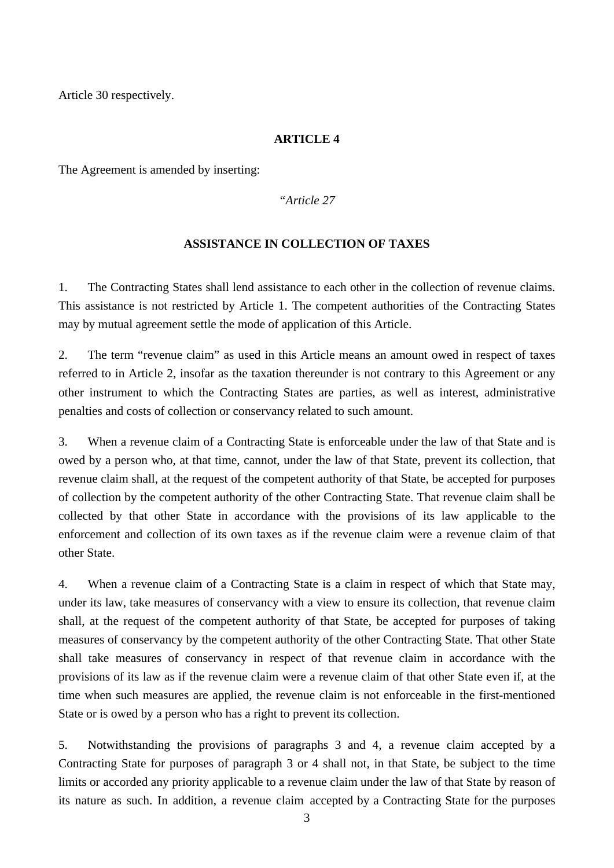Article 30 respectively.

#### **ARTICLE 4**

The Agreement is amended by inserting:

*"Article 27* 

#### **ASSISTANCE IN COLLECTION OF TAXES**

1. The Contracting States shall lend assistance to each other in the collection of revenue claims. This assistance is not restricted by Article 1. The competent authorities of the Contracting States may by mutual agreement settle the mode of application of this Article.

2. The term "revenue claim" as used in this Article means an amount owed in respect of taxes referred to in Article 2, insofar as the taxation thereunder is not contrary to this Agreement or any other instrument to which the Contracting States are parties, as well as interest, administrative penalties and costs of collection or conservancy related to such amount.

3. When a revenue claim of a Contracting State is enforceable under the law of that State and is owed by a person who, at that time, cannot, under the law of that State, prevent its collection, that revenue claim shall, at the request of the competent authority of that State, be accepted for purposes of collection by the competent authority of the other Contracting State. That revenue claim shall be collected by that other State in accordance with the provisions of its law applicable to the enforcement and collection of its own taxes as if the revenue claim were a revenue claim of that other State.

4. When a revenue claim of a Contracting State is a claim in respect of which that State may, under its law, take measures of conservancy with a view to ensure its collection, that revenue claim shall, at the request of the competent authority of that State, be accepted for purposes of taking measures of conservancy by the competent authority of the other Contracting State. That other State shall take measures of conservancy in respect of that revenue claim in accordance with the provisions of its law as if the revenue claim were a revenue claim of that other State even if, at the time when such measures are applied, the revenue claim is not enforceable in the first-mentioned State or is owed by a person who has a right to prevent its collection.

5. Notwithstanding the provisions of paragraphs 3 and 4, a revenue claim accepted by a Contracting State for purposes of paragraph 3 or 4 shall not, in that State, be subject to the time limits or accorded any priority applicable to a revenue claim under the law of that State by reason of its nature as such. In addition, a revenue claim accepted by a Contracting State for the purposes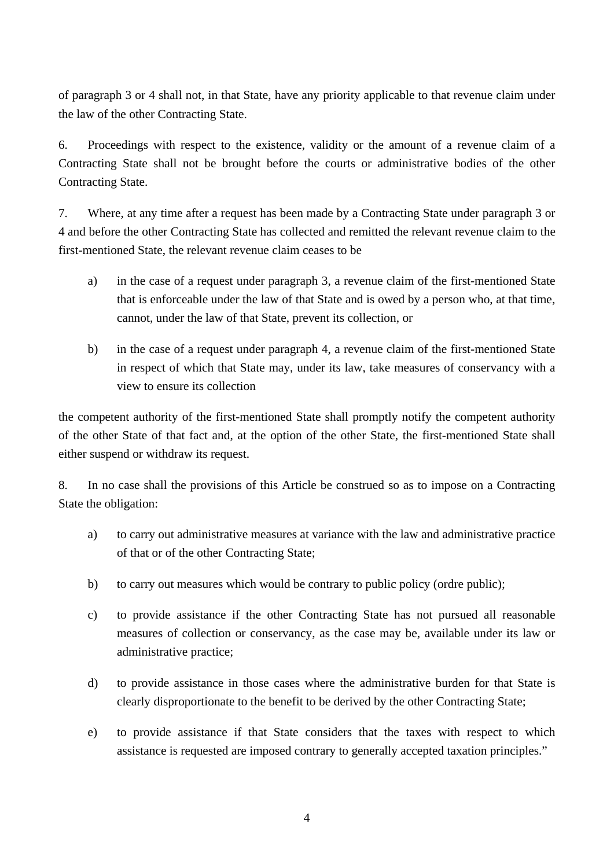of paragraph 3 or 4 shall not, in that State, have any priority applicable to that revenue claim under the law of the other Contracting State.

6. Proceedings with respect to the existence, validity or the amount of a revenue claim of a Contracting State shall not be brought before the courts or administrative bodies of the other Contracting State.

7. Where, at any time after a request has been made by a Contracting State under paragraph 3 or 4 and before the other Contracting State has collected and remitted the relevant revenue claim to the first-mentioned State, the relevant revenue claim ceases to be

- a) in the case of a request under paragraph 3, a revenue claim of the first-mentioned State that is enforceable under the law of that State and is owed by a person who, at that time, cannot, under the law of that State, prevent its collection, or
- b) in the case of a request under paragraph 4, a revenue claim of the first-mentioned State in respect of which that State may, under its law, take measures of conservancy with a view to ensure its collection

the competent authority of the first-mentioned State shall promptly notify the competent authority of the other State of that fact and, at the option of the other State, the first-mentioned State shall either suspend or withdraw its request.

8. In no case shall the provisions of this Article be construed so as to impose on a Contracting State the obligation:

- a) to carry out administrative measures at variance with the law and administrative practice of that or of the other Contracting State;
- b) to carry out measures which would be contrary to public policy (ordre public);
- c) to provide assistance if the other Contracting State has not pursued all reasonable measures of collection or conservancy, as the case may be, available under its law or administrative practice;
- d) to provide assistance in those cases where the administrative burden for that State is clearly disproportionate to the benefit to be derived by the other Contracting State;
- e) to provide assistance if that State considers that the taxes with respect to which assistance is requested are imposed contrary to generally accepted taxation principles."